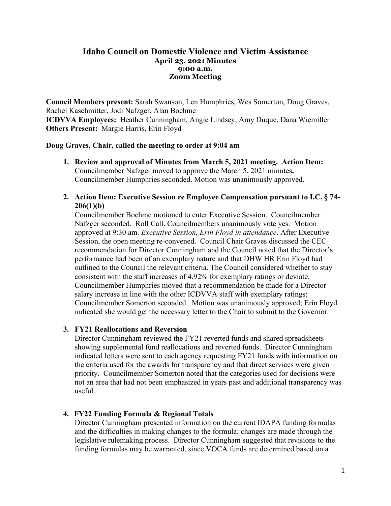## **Idaho Council on Domestic Violence and Victim Assistance April 23, 2021 Minutes 9:00 a.m. Zoom Meeting**

**Council Members present:** Sarah Swanson, Len Humphries, Wes Somerton, Doug Graves, Rachel Kaschmitter, Jodi Nafzger, Alan Boehme **ICDVVA Employees:** Heather Cunningham, Angie Lindsey, Amy Duque, Dana Wiemiller **Others Present:** Margie Harris, Erin Floyd

### **Doug Graves, Chair, called the meeting to order at 9:04 am**

- **1. Review and approval of Minutes from March 5, 2021 meeting. Action Item:**  Councilmember Nafzger moved to approve the March 5, 2021 minutes**.**  Councilmember Humphries seconded. Motion was unanimously approved.
- **2. Action Item: Executive Session re Employee Compensation pursuant to I.C. § 74- 206(1)(b)**

Councilmember Boehme motioned to enter Executive Session. Councilmember Nafzger seconded. Roll Call. Councilmembers unanimously vote yes. Motion approved at 9:30 am. *Executive Session, Erin Floyd in attendance*. After Executive Session, the open meeting re-convened. Council Chair Graves discussed the CEC recommendation for Director Cunningham and the Council noted that the Director's performance had been of an exemplary nature and that DHW HR Erin Floyd had outlined to the Council the relevant criteria. The Council considered whether to stay consistent with the staff increases of 4.92% for exemplary ratings or deviate. Councilmember Humphries moved that a recommendation be made for a Director salary increase in line with the other ICDVVA staff with exemplary ratings; Councilmember Somerton seconded. Motion was unanimously approved; Erin Floyd indicated she would get the necessary letter to the Chair to submit to the Governor.

## **3. FY21 Reallocations and Reversion**

Director Cunningham reviewed the FY21 reverted funds and shared spreadsheets showing supplemental fund reallocations and reverted funds. Director Cunningham indicated letters were sent to each agency requesting FY21 funds with information on the criteria used for the awards for transparency and that direct services were given priority. Councilmember Somerton noted that the categories used for decisions were not an area that had not been emphasized in years past and additional transparency was useful.

## **4. FY22 Funding Formula & Regional Totals**

Director Cunningham presented information on the current IDAPA funding formulas and the difficulties in making changes to the formula; changes are made through the legislative rulemaking process. Director Cunningham suggested that revisions to the funding formulas may be warranted, since VOCA funds are determined based on a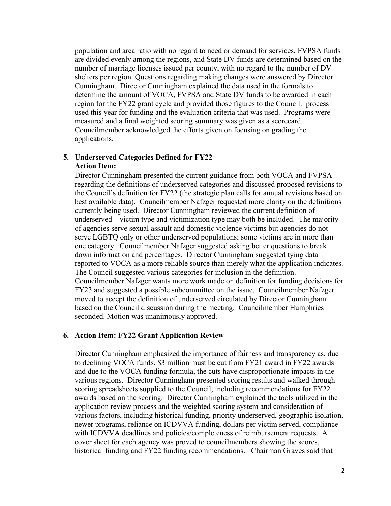population and area ratio with no regard to need or demand for services, FVPSA funds are divided evenly among the regions, and State DV funds are determined based on the number of marriage licenses issued per county, with no regard to the number of DV shelters per region. Questions regarding making changes were answered by Director Cunningham. Director Cunningham explained the data used in the formals to determine the amount of VOCA, FVPSA and State DV funds to be awarded in each region for the FY22 grant cycle and provided those figures to the Council. process used this year for funding and the evaluation criteria that was used. Programs were measured and a final weighted scoring summary was given as a scorecard. Councilmember acknowledged the efforts given on focusing on grading the applications.

# **5. Underserved Categories Defined for FY22 Action Item:**

Director Cunningham presented the current guidance from both VOCA and FVPSA regarding the definitions of underserved categories and discussed proposed revisions to the Council's definition for FY22 (the strategic plan calls for annual revisions based on best available data). Councilmember Nafzger requested more clarity on the definitions currently being used. Director Cunningham reviewed the current definition of underserved – victim type and victimization type may both be included. The majority of agencies serve sexual assault and domestic violence victims but agencies do not serve LGBTQ only or other underserved populations; some victims are in more than one category. Councilmember Nafzger suggested asking better questions to break down information and percentages. Director Cunningham suggested tying data reported to VOCA as a more reliable source than merely what the application indicates. The Council suggested various categories for inclusion in the definition. Councilmember Nafzger wants more work made on definition for funding decisions for FY23 and suggested a possible subcommittee on the issue. Councilmember Nafzger moved to accept the definition of underserved circulated by Director Cunningham based on the Council discussion during the meeting. Councilmember Humphries seconded. Motion was unanimously approved.

## **6. Action Item: FY22 Grant Application Review**

Director Cunningham emphasized the importance of fairness and transparency as, due to declining VOCA funds, \$3 million must be cut from FY21 award in FY22 awards and due to the VOCA funding formula, the cuts have disproportionate impacts in the various regions. Director Cunningham presented scoring results and walked through scoring spreadsheets supplied to the Council, including recommendations for FY22 awards based on the scoring. Director Cunningham explained the tools utilized in the application review process and the weighted scoring system and consideration of various factors, including historical funding, priority underserved, geographic isolation, newer programs, reliance on ICDVVA funding, dollars per victim served, compliance with ICDVVA deadlines and policies/completeness of reimbursement requests. A cover sheet for each agency was proved to councilmembers showing the scores, historical funding and FY22 funding recommendations. Chairman Graves said that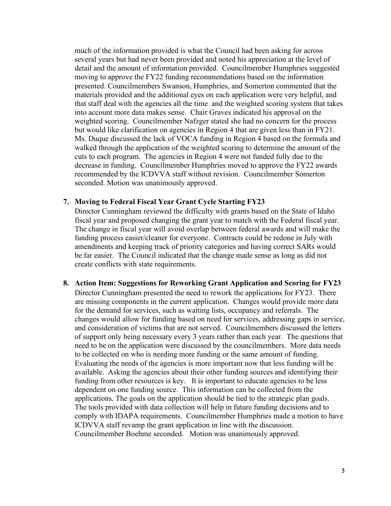much of the information provided is what the Council had been asking for across several years but had never been provided and noted his appreciation at the level of detail and the amount of information provided. Councilmember Humphries suggested moving to approve the FY22 funding recommendations based on the information presented. Councilmembers Swanson, Humphries, and Somerton commented that the materials provided and the additional eyes on each application were very helpful, and that staff deal with the agencies all the time and the weighted scoring system that takes into account more data makes sense. Chair Graves indicated his approval on the weighted scoring. Councilmember Nafzger stated she had no concern for the process but would like clarification on agencies in Region 4 that are given less than in FY21. Ms. Duque discussed the lack of VOCA funding in Region 4 based on the formula and walked through the application of the weighted scoring to determine the amount of the cuts to each program. The agencies in Region 4 were not funded fully due to the decrease in funding. Councilmember Humphries moved to approve the FY22 awards recommended by the ICDVVA staff without revision. Councilmember Somerton seconded. Motion was unanimously approved.

#### **7. Moving to Federal Fiscal Year Grant Cycle Starting FY23**

Director Cunningham reviewed the difficulty with grants based on the State of Idaho fiscal year and proposed changing the grant year to match with the Federal fiscal year. The change in fiscal year will avoid overlap between federal awards and will make the funding process easier/cleaner for everyone. Contracts could be redone in July with amendments and keeping track of priority categories and having correct SARs would be far easier. The Council indicated that the change made sense as long as did not create conflicts with state requirements.

**8. Action Item: Suggestions for Reworking Grant Application and Scoring for FY23** Director Cunningham presented the need to rework the applications for FY23. There are missing components in the current application. Changes would provide more data for the demand for services, such as waiting lists, occupancy and referrals. The changes would allow for funding based on need for services, addressing gaps in service, and consideration of victims that are not served. Councilmembers discussed the letters of support only being necessary every 3 years rather than each year. The questions that need to be on the application were discussed by the councilmembers. More data needs to be collected on who is needing more funding or the same amount of funding. Evaluating the needs of the agencies is more important now that less funding will be available. Asking the agencies about their other funding sources and identifying their funding from other resources is key. It is important to educate agencies to be less dependent on one funding source. This information can be collected from the applications. The goals on the application should be tied to the strategic plan goals. The tools provided with data collection will help in future funding decisions and to comply with IDAPA requirements. Councilmember Humphries made a motion to have ICDVVA staff revamp the grant application in line with the discussion. Councilmember Boehme seconded. Motion was unanimously approved.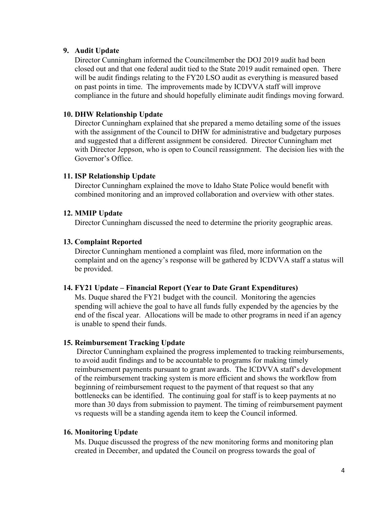## **9. Audit Update**

Director Cunningham informed the Councilmember the DOJ 2019 audit had been closed out and that one federal audit tied to the State 2019 audit remained open. There will be audit findings relating to the FY20 LSO audit as everything is measured based on past points in time. The improvements made by ICDVVA staff will improve compliance in the future and should hopefully eliminate audit findings moving forward.

### **10. DHW Relationship Update**

Director Cunningham explained that she prepared a memo detailing some of the issues with the assignment of the Council to DHW for administrative and budgetary purposes and suggested that a different assignment be considered. Director Cunningham met with Director Jeppson, who is open to Council reassignment. The decision lies with the Governor's Office.

### **11. ISP Relationship Update**

Director Cunningham explained the move to Idaho State Police would benefit with combined monitoring and an improved collaboration and overview with other states.

### **12. MMIP Update**

Director Cunningham discussed the need to determine the priority geographic areas.

#### **13. Complaint Reported**

Director Cunningham mentioned a complaint was filed, more information on the complaint and on the agency's response will be gathered by ICDVVA staff a status will be provided.

### **14. FY21 Update – Financial Report (Year to Date Grant Expenditures)**

Ms. Duque shared the FY21 budget with the council. Monitoring the agencies spending will achieve the goal to have all funds fully expended by the agencies by the end of the fiscal year. Allocations will be made to other programs in need if an agency is unable to spend their funds.

#### **15. Reimbursement Tracking Update**

Director Cunningham explained the progress implemented to tracking reimbursements, to avoid audit findings and to be accountable to programs for making timely reimbursement payments pursuant to grant awards. The ICDVVA staff's development of the reimbursement tracking system is more efficient and shows the workflow from beginning of reimbursement request to the payment of that request so that any bottlenecks can be identified. The continuing goal for staff is to keep payments at no more than 30 days from submission to payment. The timing of reimbursement payment vs requests will be a standing agenda item to keep the Council informed.

### **16. Monitoring Update**

Ms. Duque discussed the progress of the new monitoring forms and monitoring plan created in December, and updated the Council on progress towards the goal of